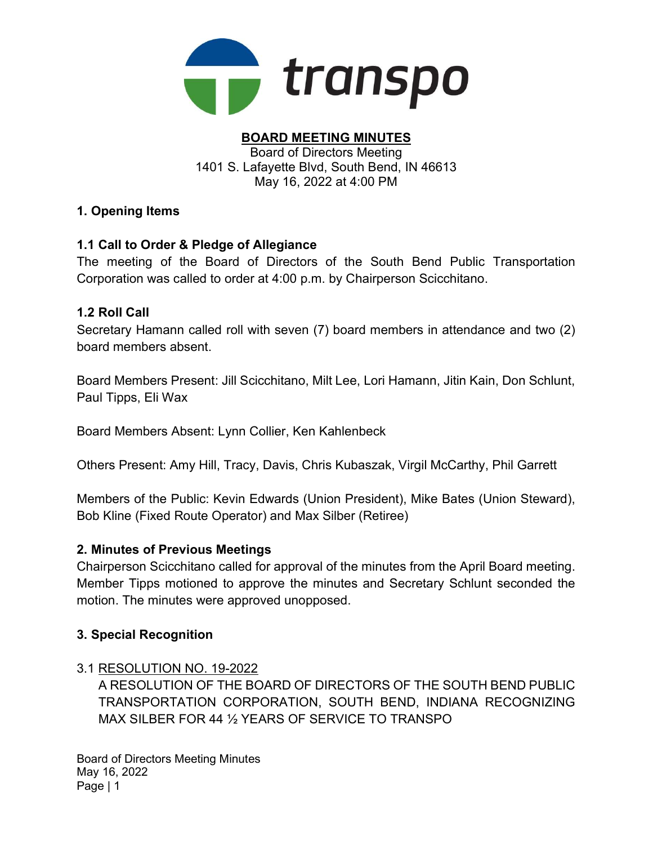

#### BOARD MEETING MINUTES Board of Directors Meeting 1401 S. Lafayette Blvd, South Bend, IN 46613

May 16, 2022 at 4:00 PM

## 1. Opening Items

## 1.1 Call to Order & Pledge of Allegiance

The meeting of the Board of Directors of the South Bend Public Transportation Corporation was called to order at 4:00 p.m. by Chairperson Scicchitano.

## 1.2 Roll Call

Secretary Hamann called roll with seven (7) board members in attendance and two (2) board members absent.

Board Members Present: Jill Scicchitano, Milt Lee, Lori Hamann, Jitin Kain, Don Schlunt, Paul Tipps, Eli Wax

Board Members Absent: Lynn Collier, Ken Kahlenbeck

Others Present: Amy Hill, Tracy, Davis, Chris Kubaszak, Virgil McCarthy, Phil Garrett

Members of the Public: Kevin Edwards (Union President), Mike Bates (Union Steward), Bob Kline (Fixed Route Operator) and Max Silber (Retiree)

### 2. Minutes of Previous Meetings

Chairperson Scicchitano called for approval of the minutes from the April Board meeting. Member Tipps motioned to approve the minutes and Secretary Schlunt seconded the motion. The minutes were approved unopposed.

### 3. Special Recognition

### 3.1 RESOLUTION NO. 19-2022

A RESOLUTION OF THE BOARD OF DIRECTORS OF THE SOUTH BEND PUBLIC TRANSPORTATION CORPORATION, SOUTH BEND, INDIANA RECOGNIZING MAX SILBER FOR 44 ½ YEARS OF SERVICE TO TRANSPO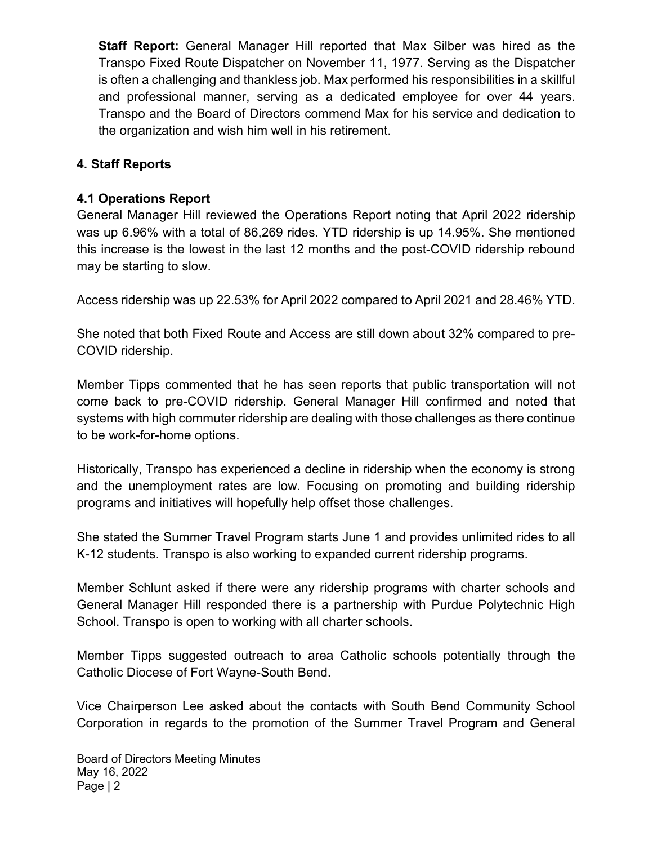Staff Report: General Manager Hill reported that Max Silber was hired as the Transpo Fixed Route Dispatcher on November 11, 1977. Serving as the Dispatcher is often a challenging and thankless job. Max performed his responsibilities in a skillful and professional manner, serving as a dedicated employee for over 44 years. Transpo and the Board of Directors commend Max for his service and dedication to the organization and wish him well in his retirement.

### 4. Staff Reports

#### 4.1 Operations Report

General Manager Hill reviewed the Operations Report noting that April 2022 ridership was up 6.96% with a total of 86,269 rides. YTD ridership is up 14.95%. She mentioned this increase is the lowest in the last 12 months and the post-COVID ridership rebound may be starting to slow.

Access ridership was up 22.53% for April 2022 compared to April 2021 and 28.46% YTD.

She noted that both Fixed Route and Access are still down about 32% compared to pre-COVID ridership.

Member Tipps commented that he has seen reports that public transportation will not come back to pre-COVID ridership. General Manager Hill confirmed and noted that systems with high commuter ridership are dealing with those challenges as there continue to be work-for-home options.

Historically, Transpo has experienced a decline in ridership when the economy is strong and the unemployment rates are low. Focusing on promoting and building ridership programs and initiatives will hopefully help offset those challenges.

She stated the Summer Travel Program starts June 1 and provides unlimited rides to all K-12 students. Transpo is also working to expanded current ridership programs.

Member Schlunt asked if there were any ridership programs with charter schools and General Manager Hill responded there is a partnership with Purdue Polytechnic High School. Transpo is open to working with all charter schools.

Member Tipps suggested outreach to area Catholic schools potentially through the Catholic Diocese of Fort Wayne-South Bend.

Vice Chairperson Lee asked about the contacts with South Bend Community School Corporation in regards to the promotion of the Summer Travel Program and General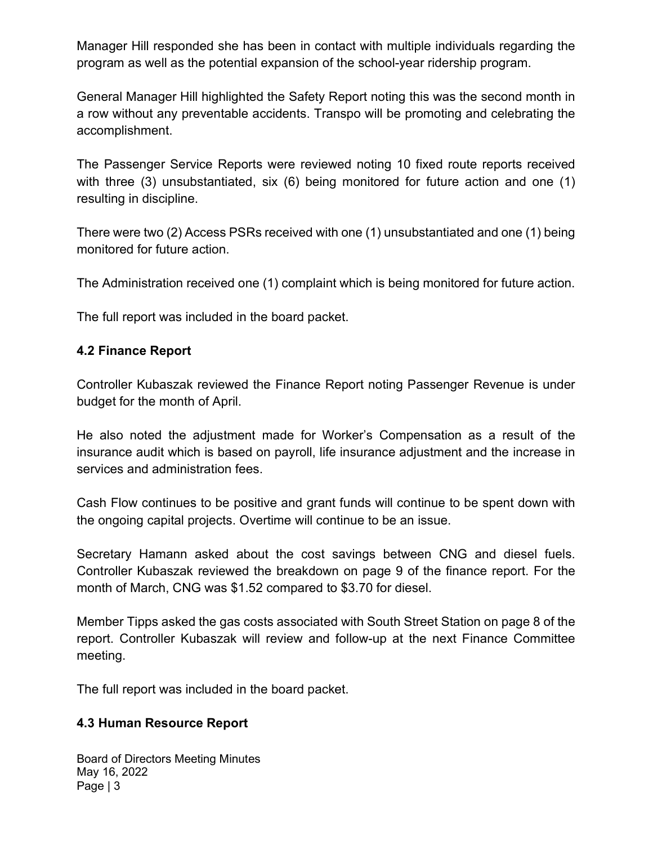Manager Hill responded she has been in contact with multiple individuals regarding the program as well as the potential expansion of the school-year ridership program.

General Manager Hill highlighted the Safety Report noting this was the second month in a row without any preventable accidents. Transpo will be promoting and celebrating the accomplishment.

The Passenger Service Reports were reviewed noting 10 fixed route reports received with three (3) unsubstantiated, six (6) being monitored for future action and one (1) resulting in discipline.

There were two (2) Access PSRs received with one (1) unsubstantiated and one (1) being monitored for future action.

The Administration received one (1) complaint which is being monitored for future action.

The full report was included in the board packet.

### 4.2 Finance Report

Controller Kubaszak reviewed the Finance Report noting Passenger Revenue is under budget for the month of April.

He also noted the adjustment made for Worker's Compensation as a result of the insurance audit which is based on payroll, life insurance adjustment and the increase in services and administration fees.

Cash Flow continues to be positive and grant funds will continue to be spent down with the ongoing capital projects. Overtime will continue to be an issue.

Secretary Hamann asked about the cost savings between CNG and diesel fuels. Controller Kubaszak reviewed the breakdown on page 9 of the finance report. For the month of March, CNG was \$1.52 compared to \$3.70 for diesel.

Member Tipps asked the gas costs associated with South Street Station on page 8 of the report. Controller Kubaszak will review and follow-up at the next Finance Committee meeting.

The full report was included in the board packet.

#### 4.3 Human Resource Report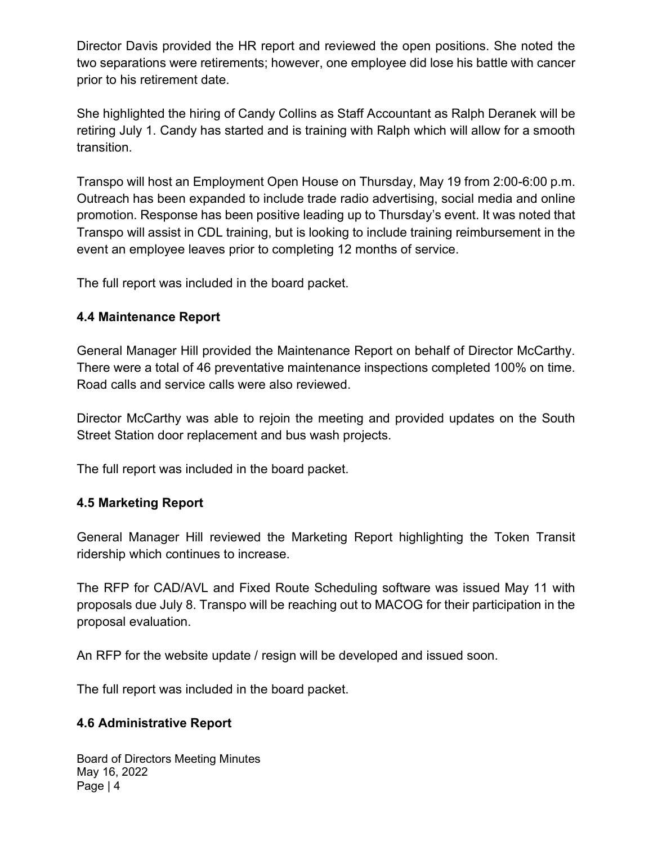Director Davis provided the HR report and reviewed the open positions. She noted the two separations were retirements; however, one employee did lose his battle with cancer prior to his retirement date.

She highlighted the hiring of Candy Collins as Staff Accountant as Ralph Deranek will be retiring July 1. Candy has started and is training with Ralph which will allow for a smooth transition.

Transpo will host an Employment Open House on Thursday, May 19 from 2:00-6:00 p.m. Outreach has been expanded to include trade radio advertising, social media and online promotion. Response has been positive leading up to Thursday's event. It was noted that Transpo will assist in CDL training, but is looking to include training reimbursement in the event an employee leaves prior to completing 12 months of service.

The full report was included in the board packet.

### 4.4 Maintenance Report

General Manager Hill provided the Maintenance Report on behalf of Director McCarthy. There were a total of 46 preventative maintenance inspections completed 100% on time. Road calls and service calls were also reviewed.

Director McCarthy was able to rejoin the meeting and provided updates on the South Street Station door replacement and bus wash projects.

The full report was included in the board packet.

### 4.5 Marketing Report

General Manager Hill reviewed the Marketing Report highlighting the Token Transit ridership which continues to increase.

The RFP for CAD/AVL and Fixed Route Scheduling software was issued May 11 with proposals due July 8. Transpo will be reaching out to MACOG for their participation in the proposal evaluation.

An RFP for the website update / resign will be developed and issued soon.

The full report was included in the board packet.

#### 4.6 Administrative Report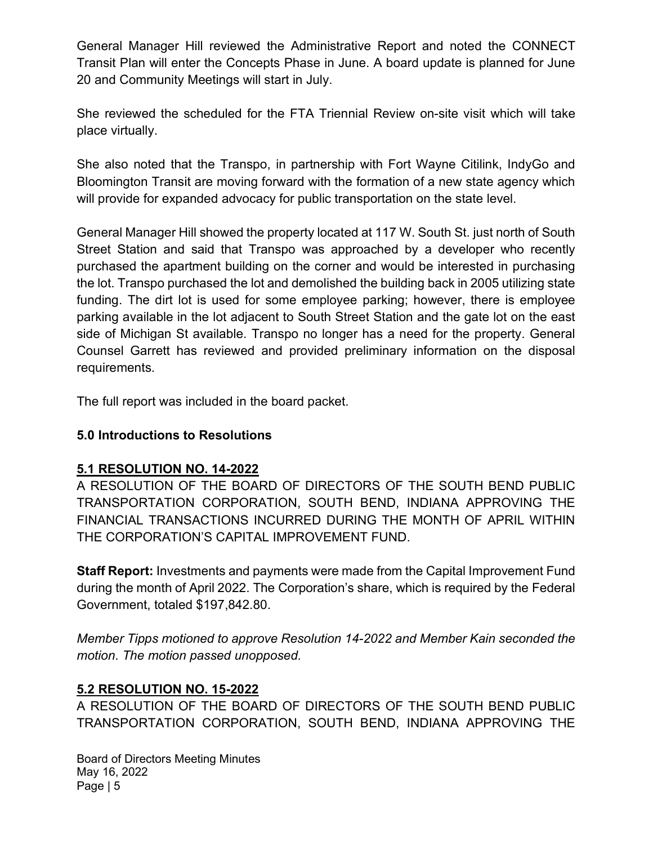General Manager Hill reviewed the Administrative Report and noted the CONNECT Transit Plan will enter the Concepts Phase in June. A board update is planned for June 20 and Community Meetings will start in July.

She reviewed the scheduled for the FTA Triennial Review on-site visit which will take place virtually.

She also noted that the Transpo, in partnership with Fort Wayne Citilink, IndyGo and Bloomington Transit are moving forward with the formation of a new state agency which will provide for expanded advocacy for public transportation on the state level.

General Manager Hill showed the property located at 117 W. South St. just north of South Street Station and said that Transpo was approached by a developer who recently purchased the apartment building on the corner and would be interested in purchasing the lot. Transpo purchased the lot and demolished the building back in 2005 utilizing state funding. The dirt lot is used for some employee parking; however, there is employee parking available in the lot adjacent to South Street Station and the gate lot on the east side of Michigan St available. Transpo no longer has a need for the property. General Counsel Garrett has reviewed and provided preliminary information on the disposal requirements.

The full report was included in the board packet.

### 5.0 Introductions to Resolutions

#### 5.1 RESOLUTION NO. 14-2022

A RESOLUTION OF THE BOARD OF DIRECTORS OF THE SOUTH BEND PUBLIC TRANSPORTATION CORPORATION, SOUTH BEND, INDIANA APPROVING THE FINANCIAL TRANSACTIONS INCURRED DURING THE MONTH OF APRIL WITHIN THE CORPORATION'S CAPITAL IMPROVEMENT FUND.

Staff Report: Investments and payments were made from the Capital Improvement Fund during the month of April 2022. The Corporation's share, which is required by the Federal Government, totaled \$197,842.80.

Member Tipps motioned to approve Resolution 14-2022 and Member Kain seconded the motion. The motion passed unopposed.

### 5.2 RESOLUTION NO. 15-2022

A RESOLUTION OF THE BOARD OF DIRECTORS OF THE SOUTH BEND PUBLIC TRANSPORTATION CORPORATION, SOUTH BEND, INDIANA APPROVING THE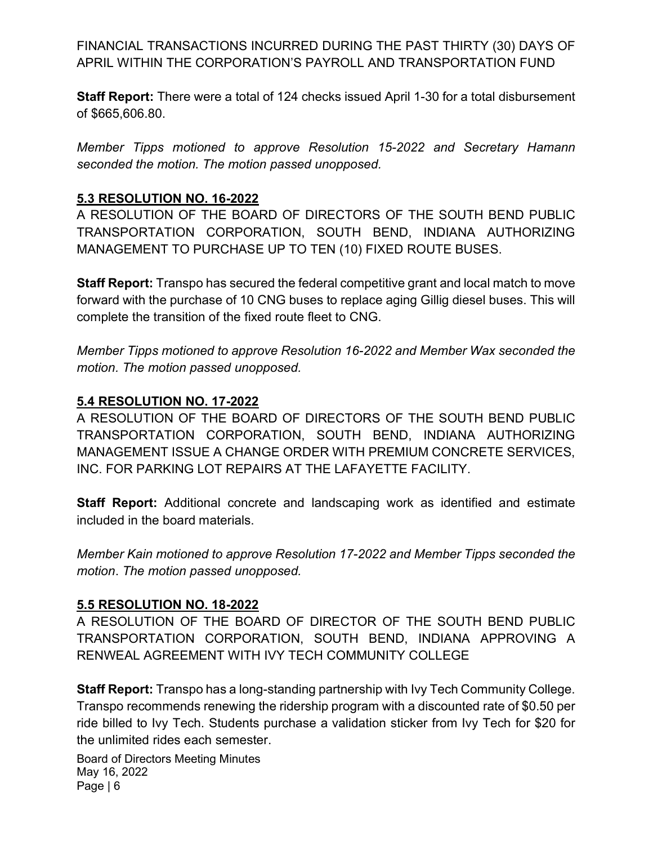FINANCIAL TRANSACTIONS INCURRED DURING THE PAST THIRTY (30) DAYS OF APRIL WITHIN THE CORPORATION'S PAYROLL AND TRANSPORTATION FUND

Staff Report: There were a total of 124 checks issued April 1-30 for a total disbursement of \$665,606.80.

Member Tipps motioned to approve Resolution 15-2022 and Secretary Hamann seconded the motion. The motion passed unopposed.

### 5.3 RESOLUTION NO. 16-2022

A RESOLUTION OF THE BOARD OF DIRECTORS OF THE SOUTH BEND PUBLIC TRANSPORTATION CORPORATION, SOUTH BEND, INDIANA AUTHORIZING MANAGEMENT TO PURCHASE UP TO TEN (10) FIXED ROUTE BUSES.

Staff Report: Transpo has secured the federal competitive grant and local match to move forward with the purchase of 10 CNG buses to replace aging Gillig diesel buses. This will complete the transition of the fixed route fleet to CNG.

Member Tipps motioned to approve Resolution 16-2022 and Member Wax seconded the motion. The motion passed unopposed.

#### 5.4 RESOLUTION NO. 17-2022

A RESOLUTION OF THE BOARD OF DIRECTORS OF THE SOUTH BEND PUBLIC TRANSPORTATION CORPORATION, SOUTH BEND, INDIANA AUTHORIZING MANAGEMENT ISSUE A CHANGE ORDER WITH PREMIUM CONCRETE SERVICES, INC. FOR PARKING LOT REPAIRS AT THE LAFAYETTE FACILITY.

Staff Report: Additional concrete and landscaping work as identified and estimate included in the board materials.

Member Kain motioned to approve Resolution 17-2022 and Member Tipps seconded the motion. The motion passed unopposed.

### 5.5 RESOLUTION NO. 18-2022

A RESOLUTION OF THE BOARD OF DIRECTOR OF THE SOUTH BEND PUBLIC TRANSPORTATION CORPORATION, SOUTH BEND, INDIANA APPROVING A RENWEAL AGREEMENT WITH IVY TECH COMMUNITY COLLEGE

Staff Report: Transpo has a long-standing partnership with Ivy Tech Community College. Transpo recommends renewing the ridership program with a discounted rate of \$0.50 per ride billed to Ivy Tech. Students purchase a validation sticker from Ivy Tech for \$20 for the unlimited rides each semester.